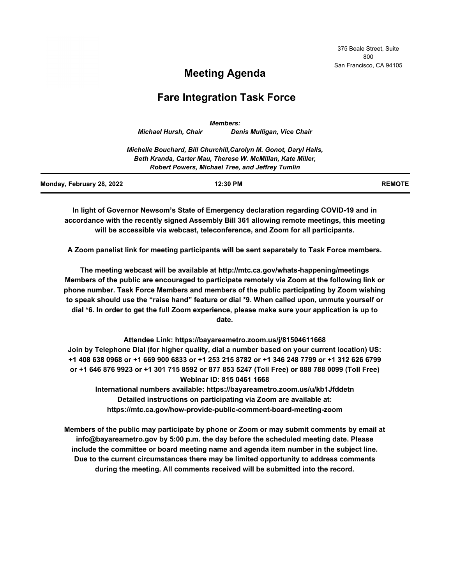375 Beale Street, Suite 800 San Francisco, CA 94105

# **Meeting Agenda**

# **Fare Integration Task Force**

|                           |                             | <b>Members:</b>                                                   |               |
|---------------------------|-----------------------------|-------------------------------------------------------------------|---------------|
|                           | <b>Michael Hursh, Chair</b> | Denis Mulligan, Vice Chair                                        |               |
|                           |                             | Michelle Bouchard, Bill Churchill, Carolyn M. Gonot, Daryl Halls, |               |
|                           |                             | Beth Kranda, Carter Mau, Therese W. McMillan, Kate Miller,        |               |
|                           |                             | <b>Robert Powers, Michael Tree, and Jeffrey Tumlin</b>            |               |
| Monday, February 28, 2022 |                             | 12:30 PM                                                          | <b>REMOTE</b> |

**In light of Governor Newsom's State of Emergency declaration regarding COVID-19 and in accordance with the recently signed Assembly Bill 361 allowing remote meetings, this meeting will be accessible via webcast, teleconference, and Zoom for all participants.**

**A Zoom panelist link for meeting participants will be sent separately to Task Force members.**

**The meeting webcast will be available at http://mtc.ca.gov/whats-happening/meetings Members of the public are encouraged to participate remotely via Zoom at the following link or phone number. Task Force Members and members of the public participating by Zoom wishing to speak should use the "raise hand" feature or dial \*9. When called upon, unmute yourself or dial \*6. In order to get the full Zoom experience, please make sure your application is up to date.**

**Attendee Link: https://bayareametro.zoom.us/j/81504611668 Join by Telephone Dial (for higher quality, dial a number based on your current location) US: +1 408 638 0968 or +1 669 900 6833 or +1 253 215 8782 or +1 346 248 7799 or +1 312 626 6799 or +1 646 876 9923 or +1 301 715 8592 or 877 853 5247 (Toll Free) or 888 788 0099 (Toll Free) Webinar ID: 815 0461 1668**

**International numbers available: https://bayareametro.zoom.us/u/kb1Jfddetn Detailed instructions on participating via Zoom are available at: https://mtc.ca.gov/how-provide-public-comment-board-meeting-zoom**

**Members of the public may participate by phone or Zoom or may submit comments by email at info@bayareametro.gov by 5:00 p.m. the day before the scheduled meeting date. Please include the committee or board meeting name and agenda item number in the subject line. Due to the current circumstances there may be limited opportunity to address comments during the meeting. All comments received will be submitted into the record.**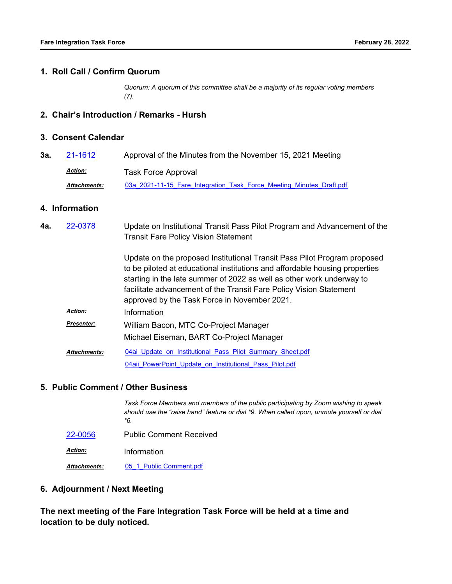#### **1. Roll Call / Confirm Quorum**

*Quorum: A quorum of this committee shall be a majority of its regular voting members (7).*

## **2. Chair's Introduction / Remarks - Hursh**

### **3. Consent Calendar**

| 3а. | 21-1612             | Approval of the Minutes from the November 15, 2021 Meeting           |  |  |  |
|-----|---------------------|----------------------------------------------------------------------|--|--|--|
|     | <u>Action:</u>      | <b>Task Force Approval</b>                                           |  |  |  |
|     | <b>Attachments:</b> | 03a 2021-11-15 Fare Integration Task Force Meeting Minutes Draft.pdf |  |  |  |

## **4. Information**

| 4а. | 22-0378             | Update on Institutional Transit Pass Pilot Program and Advancement of the<br><b>Transit Fare Policy Vision Statement</b>                                                                                                                                                                                                                               |
|-----|---------------------|--------------------------------------------------------------------------------------------------------------------------------------------------------------------------------------------------------------------------------------------------------------------------------------------------------------------------------------------------------|
|     |                     | Update on the proposed Institutional Transit Pass Pilot Program proposed<br>to be piloted at educational institutions and affordable housing properties<br>starting in the late summer of 2022 as well as other work underway to<br>facilitate advancement of the Transit Fare Policy Vision Statement<br>approved by the Task Force in November 2021. |
|     | <b>Action:</b>      | Information                                                                                                                                                                                                                                                                                                                                            |
|     | <b>Presenter:</b>   | William Bacon, MTC Co-Project Manager                                                                                                                                                                                                                                                                                                                  |
|     |                     | Michael Eiseman, BART Co-Project Manager                                                                                                                                                                                                                                                                                                               |
|     | <b>Attachments:</b> | 04ai Update on Institutional Pass Pilot Summary Sheet.pdf                                                                                                                                                                                                                                                                                              |
|     |                     | 04aii PowerPoint Update on Institutional Pass Pilot.pdf                                                                                                                                                                                                                                                                                                |

#### **5. Public Comment / Other Business**

|                | Task Force Members and members of the public participating by Zoom wishing to speak<br>should use the "raise hand" feature or dial *9. When called upon, unmute yourself or dial<br>*6. |
|----------------|-----------------------------------------------------------------------------------------------------------------------------------------------------------------------------------------|
| 22-0056        | <b>Public Comment Received</b>                                                                                                                                                          |
| <b>Action:</b> | Information                                                                                                                                                                             |
| Attachments:   | 05 1 Public Comment.pdf                                                                                                                                                                 |

### **6. Adjournment / Next Meeting**

**The next meeting of the Fare Integration Task Force will be held at a time and location to be duly noticed.**